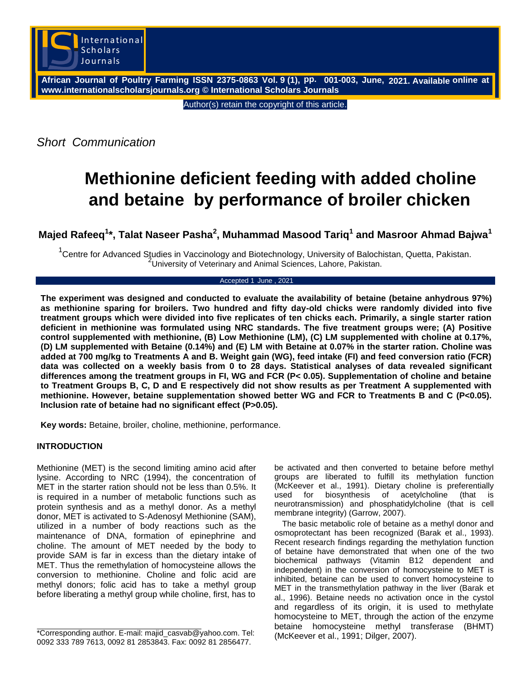

**African Journal of Poultry Farming ISSN 2375-0863 Vol. 9 (1), pp. 001-003, June, 2021. Available online at www.internationalscholarsjournals.org © International Scholars Journals**

Author(s) retain the copyright of this article.

*Short Communication*

## **Methionine deficient feeding with added choline and betaine by performance of broiler chicken**

**Majed Rafeeq<sup>1</sup> \*, Talat Naseer Pasha<sup>2</sup> , Muhammad Masood Tariq<sup>1</sup> and Masroor Ahmad Bajwa<sup>1</sup>**

<sup>1</sup> Centre for Advanced Studies in Vaccinology and Biotechnology, University of Balochistan, Quetta, Pakistan. University of Veterinary and Animal Sciences, Lahore, Pakistan.

## Accepted 1 June , 2021

**The experiment was designed and conducted to evaluate the availability of betaine (betaine anhydrous 97%) as methionine sparing for broilers. Two hundred and fifty day-old chicks were randomly divided into five treatment groups which were divided into five replicates of ten chicks each. Primarily, a single starter ration deficient in methionine was formulated using NRC standards. The five treatment groups were; (A) Positive control supplemented with methionine, (B) Low Methionine (LM), (C) LM supplemented with choline at 0.17%, (D) LM supplemented with Betaine (0.14%) and (E) LM with Betaine at 0.07% in the starter ration. Choline was added at 700 mg/kg to Treatments A and B. Weight gain (WG), feed intake (FI) and feed conversion ratio (FCR) data was collected on a weekly basis from 0 to 28 days. Statistical analyses of data revealed significant differences among the treatment groups in FI, WG and FCR (P< 0.05). Supplementation of choline and betaine to Treatment Groups B, C, D and E respectively did not show results as per Treatment A supplemented with methionine. However, betaine supplementation showed better WG and FCR to Treatments B and C (P<0.05). Inclusion rate of betaine had no significant effect (P>0.05).**

**Key words:** Betaine, broiler, choline, methionine, performance.

## **INTRODUCTION**

Methionine (MET) is the second limiting amino acid after lysine. According to NRC (1994), the concentration of MET in the starter ration should not be less than 0.5%. It is required in a number of metabolic functions such as protein synthesis and as a methyl donor. As a methyl donor, MET is activated to S-Adenosyl Methionine (SAM), utilized in a number of body reactions such as the maintenance of DNA, formation of epinephrine and choline. The amount of MET needed by the body to provide SAM is far in excess than the dietary intake of MET. Thus the remethylation of homocysteine allows the conversion to methionine. Choline and folic acid are methyl donors; folic acid has to take a methyl group before liberating a methyl group while choline, first, has to be activated and then converted to betaine before methyl groups are liberated to fulfill its methylation function (McKeever et al., 1991). Dietary choline is preferentially used for biosynthesis of acetylcholine (that is neurotransmission) and phosphatidylcholine (that is cell membrane integrity) (Garrow, 2007).

The basic metabolic role of betaine as a methyl donor and osmoprotectant has been recognized (Barak et al., 1993). Recent research findings regarding the methylation function of betaine have demonstrated that when one of the two biochemical pathways (Vitamin B12 dependent and independent) in the conversion of homocysteine to MET is inhibited, betaine can be used to convert homocysteine to MET in the transmethylation pathway in the liver (Barak et al., 1996). Betaine needs no activation once in the cystol and regardless of its origin, it is used to methylate homocysteine to MET, through the action of the enzyme betaine homocysteine methyl transferase (BHMT) (McKeever et al., 1991; Dilger, 2007).

<sup>\*</sup>Corresponding author. E-mail: majid\_casvab@yahoo.com. Tel: 0092 333 789 7613, 0092 81 2853843. Fax: 0092 81 2856477.